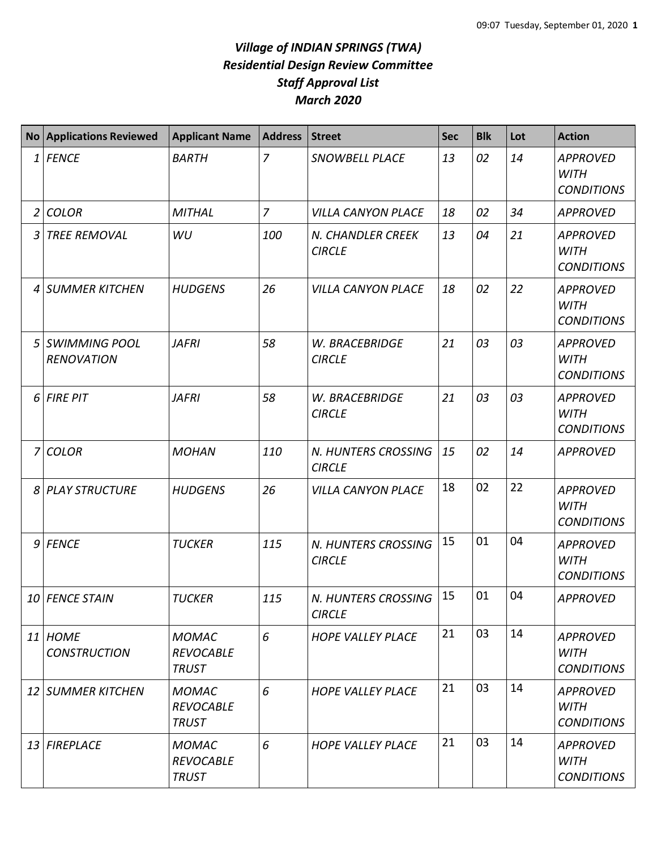## *Village of INDIAN SPRINGS (TWA) Residential Design Review Committee Staff Approval List March 2020*

| <b>No</b>       | <b>Applications Reviewed</b>              | <b>Applicant Name</b>                            | <b>Address</b> | <b>Street</b>                        | Sec | <b>Blk</b> | Lot | <b>Action</b>                                       |
|-----------------|-------------------------------------------|--------------------------------------------------|----------------|--------------------------------------|-----|------------|-----|-----------------------------------------------------|
| $1\overline{ }$ | <b>FENCE</b>                              | <b>BARTH</b>                                     | $\overline{z}$ | SNOWBELL PLACE                       | 13  | 02         | 14  | <b>APPROVED</b><br><b>WITH</b><br><b>CONDITIONS</b> |
| $\overline{2}$  | <b>COLOR</b>                              | <b>MITHAL</b>                                    | $\overline{7}$ | <b>VILLA CANYON PLACE</b>            | 18  | 02         | 34  | <b>APPROVED</b>                                     |
| 3               | <b>TREE REMOVAL</b>                       | WU                                               | 100            | N. CHANDLER CREEK<br><b>CIRCLE</b>   | 13  | 04         | 21  | <b>APPROVED</b><br><b>WITH</b><br><b>CONDITIONS</b> |
| 4               | <b>SUMMER KITCHEN</b>                     | <b>HUDGENS</b>                                   | 26             | <b>VILLA CANYON PLACE</b>            | 18  | 02         | 22  | <b>APPROVED</b><br><b>WITH</b><br><b>CONDITIONS</b> |
| 5               | <b>SWIMMING POOL</b><br><b>RENOVATION</b> | <b>JAFRI</b>                                     | 58             | W. BRACEBRIDGE<br><b>CIRCLE</b>      | 21  | 03         | 03  | <b>APPROVED</b><br><b>WITH</b><br><b>CONDITIONS</b> |
| 6               | <b>FIRE PIT</b>                           | <b>JAFRI</b>                                     | 58             | W. BRACEBRIDGE<br><b>CIRCLE</b>      | 21  | 03         | 03  | <b>APPROVED</b><br><b>WITH</b><br><b>CONDITIONS</b> |
| $\overline{7}$  | <b>COLOR</b>                              | <b>MOHAN</b>                                     | 110            | N. HUNTERS CROSSING<br><b>CIRCLE</b> | 15  | 02         | 14  | <b>APPROVED</b>                                     |
| 8               | <b>PLAY STRUCTURE</b>                     | <b>HUDGENS</b>                                   | 26             | <b>VILLA CANYON PLACE</b>            | 18  | 02         | 22  | <b>APPROVED</b><br><b>WITH</b><br><b>CONDITIONS</b> |
| 9               | FENCE                                     | <b>TUCKER</b>                                    | 115            | N. HUNTERS CROSSING<br><b>CIRCLE</b> | 15  | 01         | 04  | <b>APPROVED</b><br><b>WITH</b><br><b>CONDITIONS</b> |
|                 | 10 FENCE STAIN                            | <b>TUCKER</b>                                    | 115            | N. HUNTERS CROSSING<br><b>CIRCLE</b> | 15  | 01         | 04  | <b>APPROVED</b>                                     |
|                 | 11 HOME<br><b>CONSTRUCTION</b>            | <b>MOMAC</b><br><b>REVOCABLE</b><br><b>TRUST</b> | 6              | <b>HOPE VALLEY PLACE</b>             | 21  | 03         | 14  | <b>APPROVED</b><br>WITH<br><b>CONDITIONS</b>        |
|                 | 12 SUMMER KITCHEN                         | <b>MOMAC</b><br><b>REVOCABLE</b><br><b>TRUST</b> | 6              | <b>HOPE VALLEY PLACE</b>             | 21  | 03         | 14  | <b>APPROVED</b><br>WITH<br><b>CONDITIONS</b>        |
|                 | 13 FIREPLACE                              | <b>MOMAC</b><br><b>REVOCABLE</b><br><b>TRUST</b> | 6              | <b>HOPE VALLEY PLACE</b>             | 21  | 03         | 14  | <b>APPROVED</b><br><b>WITH</b><br><b>CONDITIONS</b> |